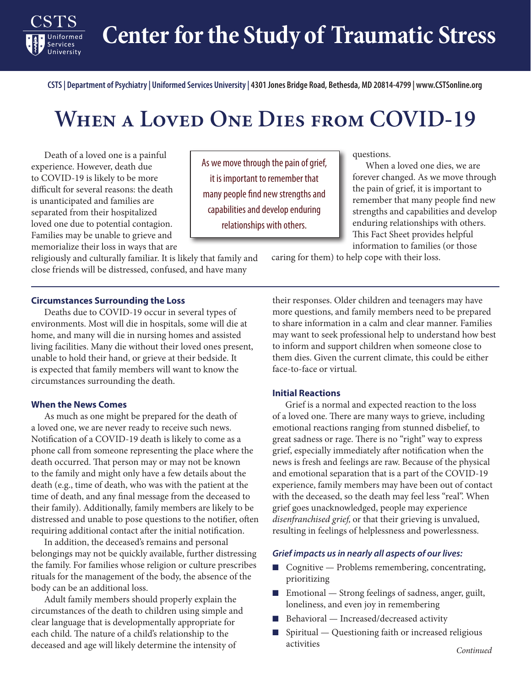**Center for the Study of Traumatic Stress**

**CSTS | Department of Psychiatry | Uniformed Services University | 4301 Jones Bridge Road, Bethesda, MD 20814-4799 | www.CSTSonline.org**

# **When a Loved One Dies from COVID-19**

Death of a loved one is a painful experience. However, death due to COVID-19 is likely to be more difficult for several reasons: the death is unanticipated and families are separated from their hospitalized loved one due to potential contagion. Families may be unable to grieve and memorialize their loss in ways that are

Services University

religiously and culturally familiar. It is likely that family and close friends will be distressed, confused, and have many

As we move through the pain of grief, it is important to remember that many people find new strengths and capabilities and develop enduring relationships with others.

questions.

When a loved one dies, we are forever changed. As we move through the pain of grief, it is important to remember that many people find new strengths and capabilities and develop enduring relationships with others. This Fact Sheet provides helpful information to families (or those

caring for them) to help cope with their loss.

### **Circumstances Surrounding the Loss**

Deaths due to COVID-19 occur in several types of environments. Most will die in hospitals, some will die at home, and many will die in nursing homes and assisted living facilities. Many die without their loved ones present, unable to hold their hand, or grieve at their bedside. It is expected that family members will want to know the circumstances surrounding the death.

#### **When the News Comes**

As much as one might be prepared for the death of a loved one, we are never ready to receive such news. Notification of a COVID-19 death is likely to come as a phone call from someone representing the place where the death occurred. That person may or may not be known to the family and might only have a few details about the death (e.g., time of death, who was with the patient at the time of death, and any final message from the deceased to their family). Additionally, family members are likely to be distressed and unable to pose questions to the notifier, often requiring additional contact after the initial notification.

In addition, the deceased's remains and personal belongings may not be quickly available, further distressing the family. For families whose religion or culture prescribes rituals for the management of the body, the absence of the body can be an additional loss.

Adult family members should properly explain the circumstances of the death to children using simple and clear language that is developmentally appropriate for each child. The nature of a child's relationship to the deceased and age will likely determine the intensity of

their responses. Older children and teenagers may have more questions, and family members need to be prepared to share information in a calm and clear manner. Families may want to seek professional help to understand how best to inform and support children when someone close to them dies. Given the current climate, this could be either face-to-face or virtual.

#### **Initial Reactions**

Grief is a normal and expected reaction to the loss of a loved one. There are many ways to grieve, including emotional reactions ranging from stunned disbelief, to great sadness or rage. There is no "right" way to express grief, especially immediately after notification when the news is fresh and feelings are raw. Because of the physical and emotional separation that is a part of the COVID-19 experience, family members may have been out of contact with the deceased, so the death may feel less "real". When grief goes unacknowledged, people may experience *disenfranchised grief,* or that their grieving is unvalued, resulting in feelings of helplessness and powerlessness.

#### *Grief impacts us in nearly all aspects of our lives:*

- Cognitive Problems remembering, concentrating, prioritizing
- Emotional Strong feelings of sadness, anger, guilt, loneliness, and even joy in remembering
- Behavioral Increased/decreased activity
- Spiritual Questioning faith or increased religious activities